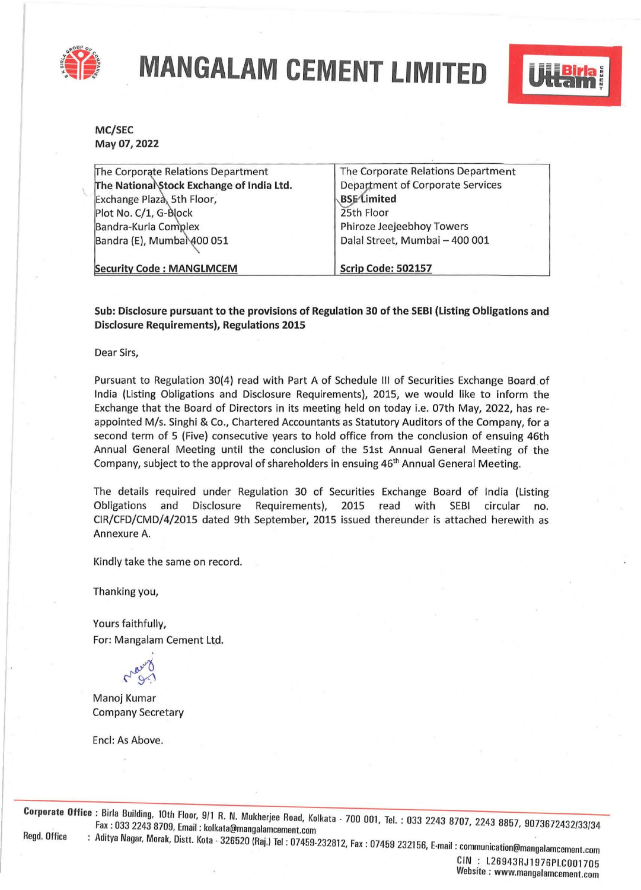

**MANGALAM CEMENT LIMITED** 



**MC/SEC May 07, 2022** 

| The Corporate Relations Department        | The Corporate Relations Department      |  |
|-------------------------------------------|-----------------------------------------|--|
| The National Stock Exchange of India Ltd. | <b>Department of Corporate Services</b> |  |
| Exchange Plaza, 5th Floor,                | <b>BSE</b> Limited                      |  |
| Plot No. C/1, G-Block                     | 25th Floor                              |  |
| Bandra-Kurla Complex                      | Phiroze Jeejeebhoy Towers               |  |
| Bandra (E), Mumbal 400 051                | Dalal Street, Mumbai - 400 001          |  |
| <b>Security Code: MANGLMCEM</b>           | <b>Scrip Code: 502157</b>               |  |

**Sub: Disclosure pursuant to the provisions of Regulation 30 of the SEBI (Listing Obligations and Disclosure Requirements), Regulations 2015** 

Dear Sirs,

Pursuant to Regulation 30(4) read with Part A of Schedule Ill of Securities Exchange Board of India {Listing Obligations and Disclosure Requirements), 2015, we would like to inform the Exchange that the Board of Directors in its meeting held on today i.e. 07th May, 2022, has reappointed M/s. Singhi & Co., Chartered Accountants as Statutory Auditors of the Company, for a second term of 5 (Five) consecutive years to hold office from the conclusion of ensuing 46th Annual General Meeting until the conclusion of the 51st Annual General Meeting of the Company, subject to the approval of shareholders in ensuing 46<sup>th</sup> Annual General Meeting.

The details required under Regulation 30 of Securities Exchange Board of India (Listing Obligations and Disclosure Requirements), 2015 read with SEBI circular no. CIR/CFD/CMD/4/2015 dated 9th September, 2015 issued thereunder is attached herewith as Annexure A.

Kindly take the same on record.

Thanking you,

Yours faithfully, For: Mangalam Cement Ltd.

Manoj Kumar Company Secretary

Encl: As Above.

**Corporate Office** : Birla Building, 10th Floor, 9/1 R. N. Mukherjee Road, Kolkata - 700 001, Tel. : 033 2243 8707, 2243 8857, 9073672432/33/34<br>Fax : 033 2243 8709, Email : kolkata@mangalamcement com , ... ... .........<br>Ikata@mangala Regd. Office : Ad1tya Nagar, Morak, Distt. Kota · 326520 (Raj.) Tel : 07459-232812 Fax · 07459 232156 E ·1. · · · , • , -ma, . commumcation@mangalamcement.com